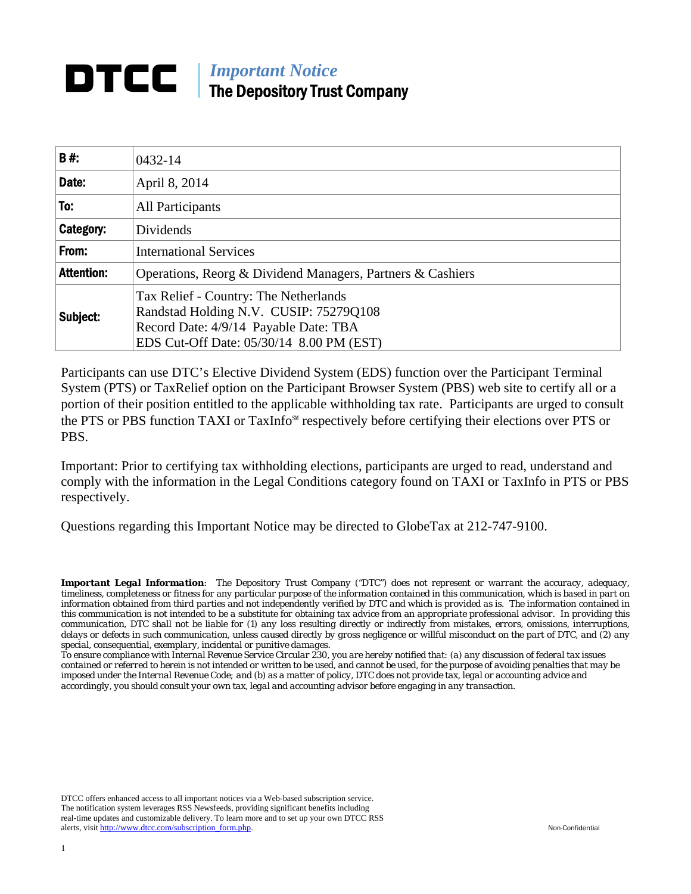# *Important Notice*  The Depository Trust Company

| B#:               | 0432-14                                                                                                                                                              |  |
|-------------------|----------------------------------------------------------------------------------------------------------------------------------------------------------------------|--|
| Date:             | April 8, 2014                                                                                                                                                        |  |
| To:               | <b>All Participants</b>                                                                                                                                              |  |
| Category:         | Dividends                                                                                                                                                            |  |
| From:             | <b>International Services</b>                                                                                                                                        |  |
| <b>Attention:</b> | Operations, Reorg & Dividend Managers, Partners & Cashiers                                                                                                           |  |
| Subject:          | Tax Relief - Country: The Netherlands<br>Randstad Holding N.V. CUSIP: 75279Q108<br>Record Date: 4/9/14 Payable Date: TBA<br>EDS Cut-Off Date: 05/30/14 8.00 PM (EST) |  |

Participants can use DTC's Elective Dividend System (EDS) function over the Participant Terminal System (PTS) or TaxRelief option on the Participant Browser System (PBS) web site to certify all or a portion of their position entitled to the applicable withholding tax rate. Participants are urged to consult the PTS or PBS function TAXI or TaxInfo℠ respectively before certifying their elections over PTS or PBS.

Important: Prior to certifying tax withholding elections, participants are urged to read, understand and comply with the information in the Legal Conditions category found on TAXI or TaxInfo in PTS or PBS respectively.

Questions regarding this Important Notice may be directed to GlobeTax at 212-747-9100.

*Important Legal Information: The Depository Trust Company ("DTC") does not represent or warrant the accuracy, adequacy, timeliness, completeness or fitness for any particular purpose of the information contained in this communication, which is based in part on information obtained from third parties and not independently verified by DTC and which is provided as is. The information contained in this communication is not intended to be a substitute for obtaining tax advice from an appropriate professional advisor. In providing this communication, DTC shall not be liable for (1) any loss resulting directly or indirectly from mistakes, errors, omissions, interruptions, delays or defects in such communication, unless caused directly by gross negligence or willful misconduct on the part of DTC, and (2) any special, consequential, exemplary, incidental or punitive damages.* 

*To ensure compliance with Internal Revenue Service Circular 230, you are hereby notified that: (a) any discussion of federal tax issues contained or referred to herein is not intended or written to be used, and cannot be used, for the purpose of avoiding penalties that may be imposed under the Internal Revenue Code; and (b) as a matter of policy, DTC does not provide tax, legal or accounting advice and accordingly, you should consult your own tax, legal and accounting advisor before engaging in any transaction.*

DTCC offers enhanced access to all important notices via a Web-based subscription service. The notification system leverages RSS Newsfeeds, providing significant benefits including real-time updates and customizable delivery. To learn more and to set up your own DTCC RSS alerts, visit http://www.dtcc.com/subscription\_form.php. Non-Confidential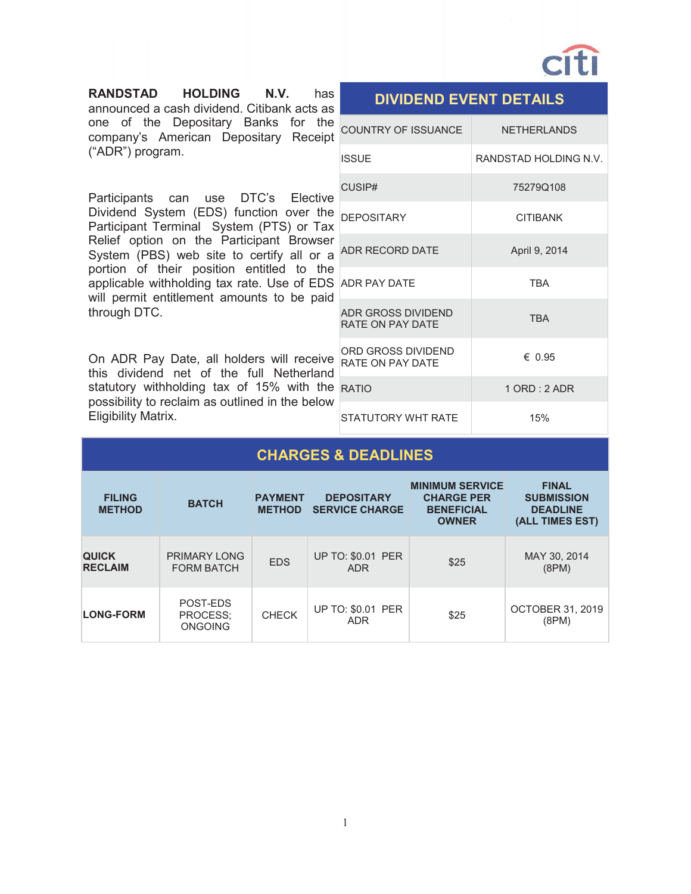

**RANDSTAD HOLDING N.V.** has announced a cash dividend. Citibank acts as one of the Depositary Banks for the company's American Depositary Receipt ("ADR") program.

Participants can use DTC's Elective Dividend System (EDS) function over the Participant Terminal System (PTS) or Tax Relief option on the Participant Browser System (PBS) web site to certify all or a portion of their position entitled to the applicable withholding tax rate. Use of EDS will permit entitlement amounts to be paid through DTC.

On ADR Pay Date, all holders will receive this dividend net of the full Netherland statutory withholding tax of 15% with the possibility to reclaim as outlined in the below Eligibility Matrix.

| <b>COUNTRY OF ISSUANCE</b>                    | <b>NETHERLANDS</b>    |
|-----------------------------------------------|-----------------------|
| <b>ISSUE</b>                                  | RANDSTAD HOLDING N.V. |
| CUSIP#                                        | 75279Q108             |
| <b>DEPOSITARY</b>                             | <b>CITIBANK</b>       |
| <b>ADR RECORD DATE</b>                        | April 9, 2014         |
| <b>ADR PAY DATF</b>                           | <b>TRA</b>            |
| <b>ADR GROSS DIVIDEND</b><br>RATE ON PAY DATE | <b>TRA</b>            |
| ORD GROSS DIVIDEND<br>RATF ON PAY DATF        | $\epsilon$ 0.95       |
| <b>RATIO</b>                                  | $1$ ORD : 2 ADR       |
| STATUTORY WHT RATE                            | 15%                   |

**DIVIDEND EVENT DETAILS** 

### **CHARGES & DEADLINES**

| <b>FILING</b><br><b>METHOD</b> | <b>BATCH</b>                           | <b>PAYMENT</b><br><b>METHOD</b> | <b>DEPOSITARY</b><br><b>SERVICE CHARGE</b> | <b>MINIMUM SERVICE</b><br><b>CHARGE PER</b><br><b>BENEFICIAL</b><br><b>OWNER</b> | <b>FINAL</b><br><b>SUBMISSION</b><br><b>DEADLINE</b><br>(ALL TIMES EST) |
|--------------------------------|----------------------------------------|---------------------------------|--------------------------------------------|----------------------------------------------------------------------------------|-------------------------------------------------------------------------|
| <b>QUICK</b><br><b>RECLAIM</b> | PRIMARY LONG<br><b>FORM BATCH</b>      | <b>EDS</b>                      | <b>UP TO: \$0.01 PER</b><br><b>ADR</b>     | \$25                                                                             | MAY 30, 2014<br>(8PM)                                                   |
| <b>LONG-FORM</b>               | POST-EDS<br>PROCESS:<br><b>ONGOING</b> | <b>CHECK</b>                    | <b>UP TO: \$0.01 PER</b><br><b>ADR</b>     | \$25                                                                             | <b>OCTOBER 31, 2019</b><br>(8PM)                                        |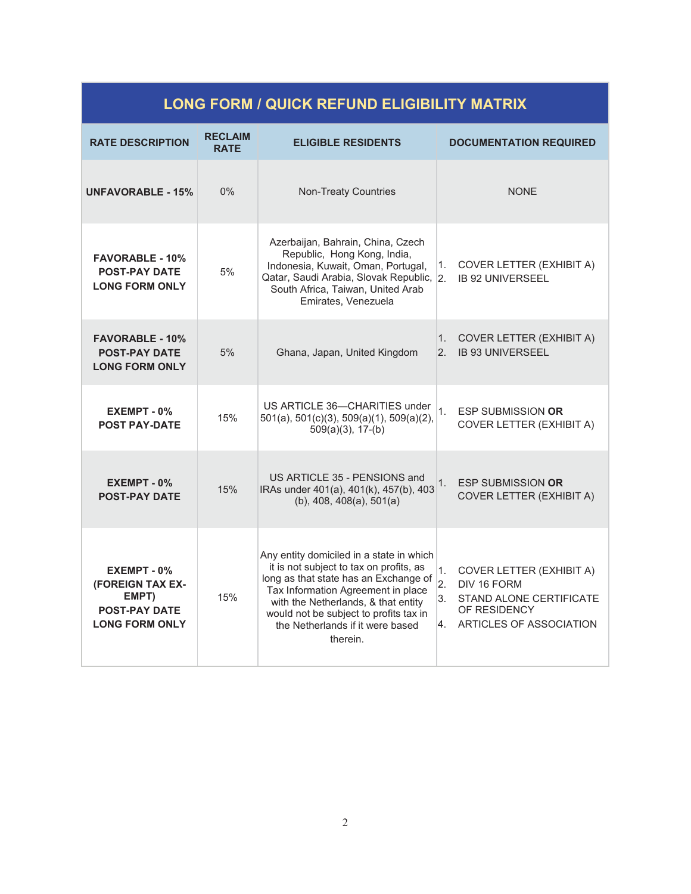## **LONG FORM / QUICK REFUND ELIGIBILITY MATRIX**

| <b>RATE DESCRIPTION</b>                                                                   | <b>RECLAIM</b><br><b>RATE</b> | <b>ELIGIBLE RESIDENTS</b>                                                                                                                                                                                                                                                                           | <b>DOCUMENTATION REQUIRED</b>                                                                                                                       |
|-------------------------------------------------------------------------------------------|-------------------------------|-----------------------------------------------------------------------------------------------------------------------------------------------------------------------------------------------------------------------------------------------------------------------------------------------------|-----------------------------------------------------------------------------------------------------------------------------------------------------|
| <b>UNFAVORABLE - 15%</b>                                                                  | 0%                            | <b>Non-Treaty Countries</b>                                                                                                                                                                                                                                                                         | <b>NONE</b>                                                                                                                                         |
| <b>FAVORABLE - 10%</b><br><b>POST-PAY DATE</b><br><b>LONG FORM ONLY</b>                   | 5%                            | Azerbaijan, Bahrain, China, Czech<br>Republic, Hong Kong, India,<br>Indonesia, Kuwait, Oman, Portugal,<br>Qatar, Saudi Arabia, Slovak Republic, 2.<br>South Africa, Taiwan, United Arab<br>Emirates, Venezuela                                                                                      | COVER LETTER (EXHIBIT A)<br>1.<br><b>IB 92 UNIVERSEEL</b>                                                                                           |
| <b>FAVORABLE - 10%</b><br><b>POST-PAY DATE</b><br><b>LONG FORM ONLY</b>                   | 5%                            | Ghana, Japan, United Kingdom                                                                                                                                                                                                                                                                        | COVER LETTER (EXHIBIT A)<br>$1_{-}$<br><b>IB 93 UNIVERSEEL</b><br>2.                                                                                |
| $EXEMENT - 0$ %<br><b>POST PAY-DATE</b>                                                   | 15%                           | US ARTICLE 36-CHARITIES under<br>501(a), 501(c)(3), 509(a)(1), 509(a)(2),<br>$509(a)(3)$ , 17-(b)                                                                                                                                                                                                   | 1.<br><b>ESP SUBMISSION OR</b><br>COVER LETTER (EXHIBIT A)                                                                                          |
| EXEMPT - 0%<br><b>POST-PAY DATE</b>                                                       | 15%                           | US ARTICLE 35 - PENSIONS and<br>IRAs under 401(a), 401(k), 457(b), 403<br>$(b)$ , 408, 408 $(a)$ , 501 $(a)$                                                                                                                                                                                        | <b>ESP SUBMISSION OR</b><br>1.<br>COVER LETTER (EXHIBIT A)                                                                                          |
| EXEMPT - 0%<br>(FOREIGN TAX EX-<br>EMPT)<br><b>POST-PAY DATE</b><br><b>LONG FORM ONLY</b> | 15%                           | Any entity domiciled in a state in which<br>it is not subject to tax on profits, as<br>long as that state has an Exchange of<br>Tax Information Agreement in place<br>with the Netherlands, & that entity<br>would not be subject to profits tax in<br>the Netherlands if it were based<br>therein. | 1.<br>COVER LETTER (EXHIBIT A)<br>$\overline{2}$ .<br>DIV 16 FORM<br>3.<br>STAND ALONE CERTIFICATE<br>OF RESIDENCY<br>ARTICLES OF ASSOCIATION<br>4. |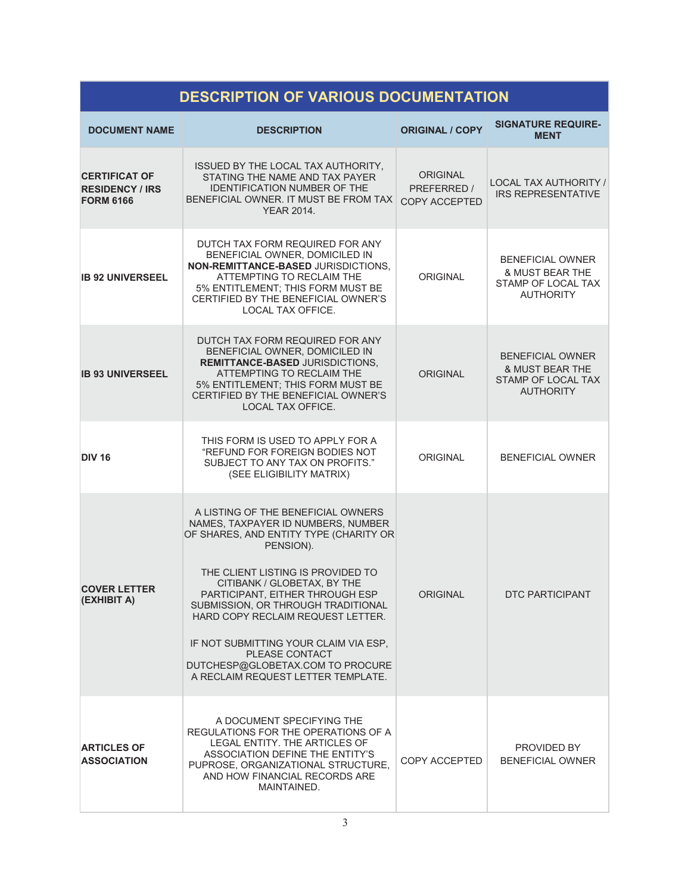| <b>DESCRIPTION OF VARIOUS DOCUMENTATION</b>                        |                                                                                                                                                                                                                                                                                                                                                                                                                                                        |                                                        |                                                                                      |  |
|--------------------------------------------------------------------|--------------------------------------------------------------------------------------------------------------------------------------------------------------------------------------------------------------------------------------------------------------------------------------------------------------------------------------------------------------------------------------------------------------------------------------------------------|--------------------------------------------------------|--------------------------------------------------------------------------------------|--|
| <b>DOCUMENT NAME</b>                                               | <b>DESCRIPTION</b>                                                                                                                                                                                                                                                                                                                                                                                                                                     | <b>ORIGINAL / COPY</b>                                 | <b>SIGNATURE REQUIRE-</b><br><b>MENT</b>                                             |  |
| <b>CERTIFICAT OF</b><br><b>RESIDENCY / IRS</b><br><b>FORM 6166</b> | ISSUED BY THE LOCAL TAX AUTHORITY,<br>STATING THE NAME AND TAX PAYER<br><b>IDENTIFICATION NUMBER OF THE</b><br>BENEFICIAL OWNER. IT MUST BE FROM TAX<br><b>YEAR 2014.</b>                                                                                                                                                                                                                                                                              | <b>ORIGINAL</b><br>PREFERRED /<br><b>COPY ACCEPTED</b> | LOCAL TAX AUTHORITY /<br><b>IRS REPRESENTATIVE</b>                                   |  |
| <b>IB 92 UNIVERSEEL</b>                                            | DUTCH TAX FORM REQUIRED FOR ANY<br>BENEFICIAL OWNER, DOMICILED IN<br>NON-REMITTANCE-BASED JURISDICTIONS.<br>ATTEMPTING TO RECLAIM THE<br>5% ENTITLEMENT; THIS FORM MUST BE<br>CERTIFIED BY THE BENEFICIAL OWNER'S<br>LOCAL TAX OFFICE.                                                                                                                                                                                                                 | <b>ORIGINAL</b>                                        | <b>BENEFICIAL OWNER</b><br>& MUST BEAR THE<br>STAMP OF LOCAL TAX<br><b>AUTHORITY</b> |  |
| <b>IB 93 UNIVERSEEL</b>                                            | DUTCH TAX FORM REQUIRED FOR ANY<br>BENEFICIAL OWNER, DOMICILED IN<br><b>REMITTANCE-BASED JURISDICTIONS,</b><br>ATTEMPTING TO RECLAIM THE<br>5% ENTITLEMENT; THIS FORM MUST BE<br>CERTIFIED BY THE BENEFICIAL OWNER'S<br><b>LOCAL TAX OFFICE.</b>                                                                                                                                                                                                       | <b>ORIGINAL</b>                                        | <b>BENEFICIAL OWNER</b><br>& MUST BEAR THE<br>STAMP OF LOCAL TAX<br><b>AUTHORITY</b> |  |
| <b>DIV 16</b>                                                      | THIS FORM IS USED TO APPLY FOR A<br>"REFUND FOR FOREIGN BODIES NOT<br>SUBJECT TO ANY TAX ON PROFITS."<br>(SEE ELIGIBILITY MATRIX)                                                                                                                                                                                                                                                                                                                      | <b>ORIGINAL</b>                                        | <b>BENEFICIAL OWNER</b>                                                              |  |
| <b>COVER LETTER</b><br>(EXHIBIT A)                                 | A LISTING OF THE BENEFICIAL OWNERS<br>NAMES, TAXPAYER ID NUMBERS, NUMBER<br>OF SHARES, AND ENTITY TYPE (CHARITY OR<br>PENSION).<br>THE CLIENT LISTING IS PROVIDED TO<br>CITIBANK / GLOBETAX, BY THE<br>PARTICIPANT, EITHER THROUGH ESP<br>SUBMISSION, OR THROUGH TRADITIONAL<br>HARD COPY RECLAIM REQUEST LETTER.<br>IF NOT SUBMITTING YOUR CLAIM VIA ESP.<br>PLEASE CONTACT<br>DUTCHESP@GLOBETAX.COM TO PROCURE<br>A RECLAIM REQUEST LETTER TEMPLATE. | <b>ORIGINAL</b>                                        | <b>DTC PARTICIPANT</b>                                                               |  |
| <b>ARTICLES OF</b><br><b>ASSOCIATION</b>                           | A DOCUMENT SPECIFYING THE<br>REGULATIONS FOR THE OPERATIONS OF A<br>LEGAL ENTITY. THE ARTICLES OF<br>ASSOCIATION DEFINE THE ENTITY'S<br>PUPROSE, ORGANIZATIONAL STRUCTURE,<br>AND HOW FINANCIAL RECORDS ARE<br>MAINTAINED.                                                                                                                                                                                                                             | COPY ACCEPTED                                          | PROVIDED BY<br><b>BENEFICIAL OWNER</b>                                               |  |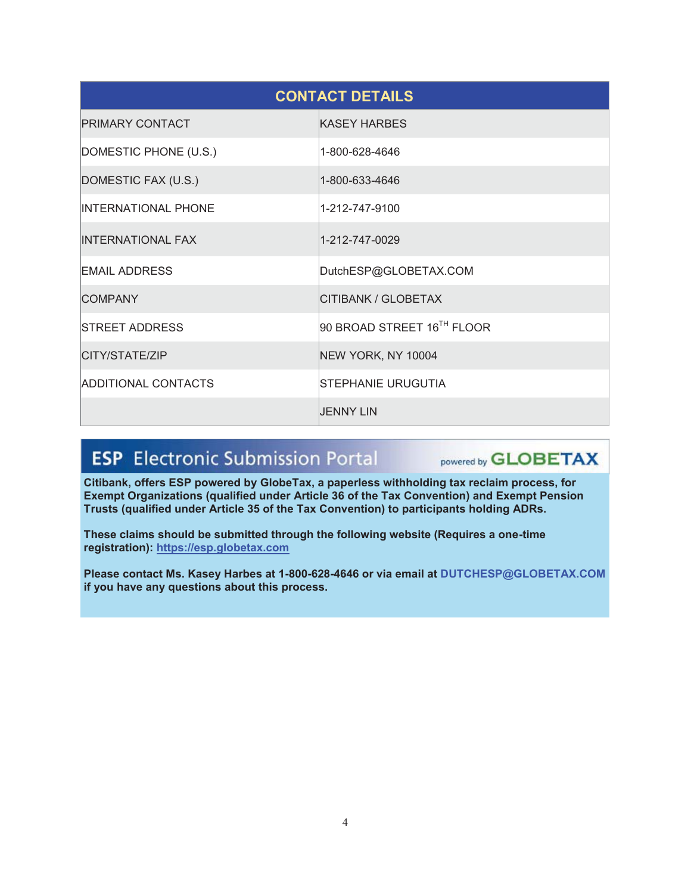| <b>CONTACT DETAILS</b>     |                            |  |
|----------------------------|----------------------------|--|
| <b>PRIMARY CONTACT</b>     | <b>KASEY HARBES</b>        |  |
| DOMESTIC PHONE (U.S.)      | 1-800-628-4646             |  |
| DOMESTIC FAX (U.S.)        | 1-800-633-4646             |  |
| <b>INTERNATIONAL PHONE</b> | 1-212-747-9100             |  |
| <b>INTERNATIONAL FAX</b>   | 1-212-747-0029             |  |
| <b>EMAIL ADDRESS</b>       | DutchESP@GLOBETAX.COM      |  |
| <b>COMPANY</b>             | CITIBANK / GLOBETAX        |  |
| <b>STREET ADDRESS</b>      | 90 BROAD STREET 16TH FLOOR |  |
| CITY/STATE/ZIP             | NEW YORK, NY 10004         |  |
| <b>ADDITIONAL CONTACTS</b> | <b>STEPHANIE URUGUTIA</b>  |  |
|                            | <b>JENNY LIN</b>           |  |

#### **ESP** Electronic Submission Portal powered by **GLOBETAX**

**Citibank, offers ESP powered by GlobeTax, a paperless withholding tax reclaim process, for Exempt Organizations (qualified under Article 36 of the Tax Convention) and Exempt Pension Trusts (qualified under Article 35 of the Tax Convention) to participants holding ADRs.** 

**These claims should be submitted through the following website (Requires a one-time registration): https://esp.globetax.com**

**Please contact Ms. Kasey Harbes at 1-800-628-4646 or via email at DUTCHESP@GLOBETAX.COM if you have any questions about this process.**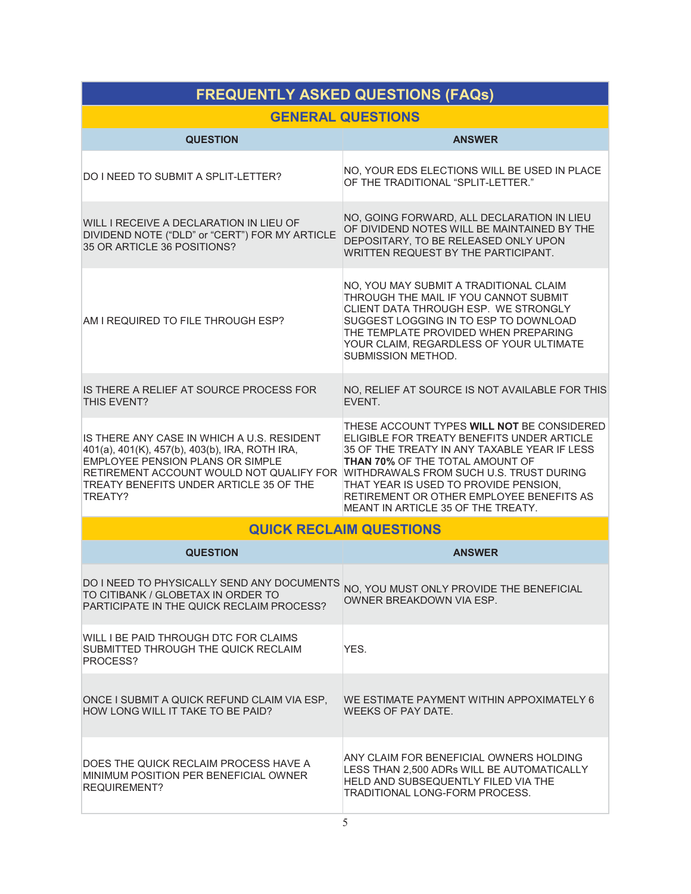| <b>FREQUENTLY ASKED QUESTIONS (FAQs)</b>                                                                                                                                                                                                                                   |                                                                                                                                                                                                                                                                                                               |  |  |
|----------------------------------------------------------------------------------------------------------------------------------------------------------------------------------------------------------------------------------------------------------------------------|---------------------------------------------------------------------------------------------------------------------------------------------------------------------------------------------------------------------------------------------------------------------------------------------------------------|--|--|
| <b>GENERAL QUESTIONS</b>                                                                                                                                                                                                                                                   |                                                                                                                                                                                                                                                                                                               |  |  |
| <b>QUESTION</b>                                                                                                                                                                                                                                                            | <b>ANSWER</b>                                                                                                                                                                                                                                                                                                 |  |  |
| DO I NEED TO SUBMIT A SPLIT-LETTER?                                                                                                                                                                                                                                        | NO, YOUR EDS ELECTIONS WILL BE USED IN PLACE<br>OF THE TRADITIONAL "SPLIT-LETTER."                                                                                                                                                                                                                            |  |  |
| WILL I RECEIVE A DECLARATION IN LIEU OF<br>DIVIDEND NOTE ("DLD" or "CERT") FOR MY ARTICLE<br>35 OR ARTICLE 36 POSITIONS?                                                                                                                                                   | NO, GOING FORWARD, ALL DECLARATION IN LIEU<br>OF DIVIDEND NOTES WILL BE MAINTAINED BY THE<br>DEPOSITARY, TO BE RELEASED ONLY UPON<br>WRITTEN REQUEST BY THE PARTICIPANT.                                                                                                                                      |  |  |
| AM I REQUIRED TO FILE THROUGH ESP?                                                                                                                                                                                                                                         | NO, YOU MAY SUBMIT A TRADITIONAL CLAIM<br>THROUGH THE MAIL IF YOU CANNOT SUBMIT<br>CLIENT DATA THROUGH ESP. WE STRONGLY<br>SUGGEST LOGGING IN TO ESP TO DOWNLOAD<br>THE TEMPLATE PROVIDED WHEN PREPARING<br>YOUR CLAIM, REGARDLESS OF YOUR ULTIMATE<br>SUBMISSION METHOD.                                     |  |  |
| IS THERE A RELIEF AT SOURCE PROCESS FOR<br>THIS FVFNT?                                                                                                                                                                                                                     | NO, RELIEF AT SOURCE IS NOT AVAILABLE FOR THIS<br>EVENT.                                                                                                                                                                                                                                                      |  |  |
| IS THERE ANY CASE IN WHICH A U.S. RESIDENT<br>401(a), 401(K), 457(b), 403(b), IRA, ROTH IRA,<br>EMPLOYEE PENSION PLANS OR SIMPLE<br>RETIREMENT ACCOUNT WOULD NOT QUALIFY FOR WITHDRAWALS FROM SUCH U.S. TRUST DURING<br>TREATY BENEFITS UNDER ARTICLE 35 OF THE<br>TREATY? | THESE ACCOUNT TYPES WILL NOT BE CONSIDERED<br>ELIGIBLE FOR TREATY BENEFITS UNDER ARTICLE<br>35 OF THE TREATY IN ANY TAXABLE YEAR IF LESS<br><b>THAN 70% OF THE TOTAL AMOUNT OF</b><br>THAT YEAR IS USED TO PROVIDE PENSION,<br>RETIREMENT OR OTHER EMPLOYEE BENEFITS AS<br>MEANT IN ARTICLE 35 OF THE TREATY. |  |  |
|                                                                                                                                                                                                                                                                            | <b>QUICK RECLAIM QUESTIONS</b>                                                                                                                                                                                                                                                                                |  |  |
| <b>QUESTION</b>                                                                                                                                                                                                                                                            | <b>ANSWER</b>                                                                                                                                                                                                                                                                                                 |  |  |
| DO I NEED TO PHYSICALLY SEND ANY DOCUMENTS<br>TO CITIBANK / GLOBETAX IN ORDER TO<br>PARTICIPATE IN THE QUICK RECLAIM PROCESS?                                                                                                                                              | NO, YOU MUST ONLY PROVIDE THE BENEFICIAL<br>OWNER BREAKDOWN VIA ESP.                                                                                                                                                                                                                                          |  |  |
| WILL I BE PAID THROUGH DTC FOR CLAIMS<br>SUBMITTED THROUGH THE QUICK RECLAIM<br>PROCESS?                                                                                                                                                                                   | YES.                                                                                                                                                                                                                                                                                                          |  |  |
| ONCE I SUBMIT A QUICK REFUND CLAIM VIA ESP,<br>HOW LONG WILL IT TAKE TO BE PAID?                                                                                                                                                                                           | WE ESTIMATE PAYMENT WITHIN APPOXIMATELY 6<br><b>WEEKS OF PAY DATE.</b>                                                                                                                                                                                                                                        |  |  |
| DOES THE QUICK RECLAIM PROCESS HAVE A<br>MINIMUM POSITION PER BENEFICIAL OWNER<br>REQUIREMENT?                                                                                                                                                                             | ANY CLAIM FOR BENEFICIAL OWNERS HOLDING<br>LESS THAN 2,500 ADRs WILL BE AUTOMATICALLY<br>HELD AND SUBSEQUENTLY FILED VIA THE<br>TRADITIONAL LONG-FORM PROCESS.                                                                                                                                                |  |  |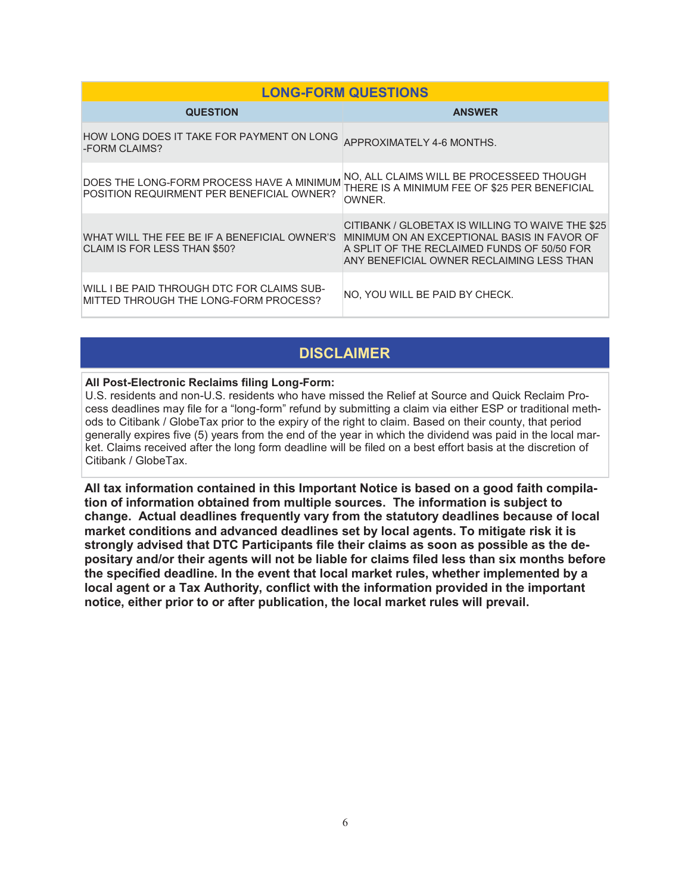| <b>LONG-FORM QUESTIONS</b>                                                             |                                                                                                                                                                                             |  |
|----------------------------------------------------------------------------------------|---------------------------------------------------------------------------------------------------------------------------------------------------------------------------------------------|--|
| <b>QUESTION</b>                                                                        | <b>ANSWER</b>                                                                                                                                                                               |  |
| HOW LONG DOES IT TAKE FOR PAYMENT ON LONG<br>-FORM CLAIMS?                             | APPROXIMATELY 4-6 MONTHS.                                                                                                                                                                   |  |
| DOES THE LONG-FORM PROCESS HAVE A MINIMUM<br>POSITION REQUIRMENT PER BENEFICIAL OWNER? | NO, ALL CLAIMS WILL BE PROCESSEED THOUGH<br>THERE IS A MINIMUM FEE OF \$25 PER BENEFICIAL<br>OWNER.                                                                                         |  |
| WHAT WILL THE FEE BE IF A BENEFICIAL OWNER'S<br>CLAIM IS FOR LESS THAN \$50?           | CITIBANK / GLOBETAX IS WILLING TO WAIVE THE \$25<br>MINIMUM ON AN EXCEPTIONAL BASIS IN FAVOR OF<br>A SPLIT OF THE RECLAIMED FUNDS OF 50/50 FOR<br>ANY BENEFICIAL OWNER RECLAIMING LESS THAN |  |
| WILL I BE PAID THROUGH DTC FOR CLAIMS SUB-<br>MITTED THROUGH THE LONG-FORM PROCESS?    | NO. YOU WILL BE PAID BY CHECK.                                                                                                                                                              |  |

### **DISCLAIMER**

#### **All Post-Electronic Reclaims filing Long-Form:**

U.S. residents and non-U.S. residents who have missed the Relief at Source and Quick Reclaim Process deadlines may file for a "long-form" refund by submitting a claim via either ESP or traditional methods to Citibank / GlobeTax prior to the expiry of the right to claim. Based on their county, that period generally expires five (5) years from the end of the year in which the dividend was paid in the local market. Claims received after the long form deadline will be filed on a best effort basis at the discretion of Citibank / GlobeTax.

**All tax information contained in this Important Notice is based on a good faith compilation of information obtained from multiple sources. The information is subject to change. Actual deadlines frequently vary from the statutory deadlines because of local market conditions and advanced deadlines set by local agents. To mitigate risk it is strongly advised that DTC Participants file their claims as soon as possible as the depositary and/or their agents will not be liable for claims filed less than six months before the specified deadline. In the event that local market rules, whether implemented by a local agent or a Tax Authority, conflict with the information provided in the important notice, either prior to or after publication, the local market rules will prevail.**